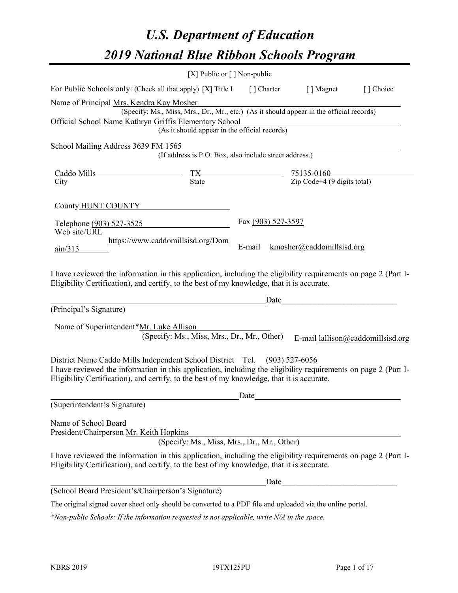# *U.S. Department of Education 2019 National Blue Ribbon Schools Program*

|                                                                                                                                                                                                                                                                                                                                      | [X] Public or $\lceil$ ] Non-public                                                                                                       |                    |                                                         |                                   |
|--------------------------------------------------------------------------------------------------------------------------------------------------------------------------------------------------------------------------------------------------------------------------------------------------------------------------------------|-------------------------------------------------------------------------------------------------------------------------------------------|--------------------|---------------------------------------------------------|-----------------------------------|
| For Public Schools only: (Check all that apply) [X] Title I                                                                                                                                                                                                                                                                          |                                                                                                                                           | [] Charter         | [ ] Magnet                                              | [ ] Choice                        |
| Name of Principal Mrs. Kendra Kay Mosher<br>Official School Name Kathryn Griffis Elementary School                                                                                                                                                                                                                                   | (Specify: Ms., Miss, Mrs., Dr., Mr., etc.) (As it should appear in the official records)<br>(As it should appear in the official records) |                    |                                                         |                                   |
| School Mailing Address 3639 FM 1565                                                                                                                                                                                                                                                                                                  | (If address is P.O. Box, also include street address.)                                                                                    |                    |                                                         |                                   |
| <u>Caddo Mills</u><br>City                                                                                                                                                                                                                                                                                                           | $\frac{TX}{State}$                                                                                                                        |                    | $\frac{75135-0160}{\text{Zip Code}+4 (9 digits total)}$ |                                   |
| County HUNT COUNTY                                                                                                                                                                                                                                                                                                                   |                                                                                                                                           |                    |                                                         |                                   |
| Telephone (903) 527-3525<br>Web site/URL                                                                                                                                                                                                                                                                                             |                                                                                                                                           | Fax (903) 527-3597 |                                                         |                                   |
| $\frac{\text{ain}}{313}$                                                                                                                                                                                                                                                                                                             | https://www.caddomillsisd.org/Dom                                                                                                         | E-mail             | kmosher@caddomillsisd.org                               |                                   |
| I have reviewed the information in this application, including the eligibility requirements on page 2 (Part I-<br>Eligibility Certification), and certify, to the best of my knowledge, that it is accurate.                                                                                                                         |                                                                                                                                           |                    |                                                         |                                   |
| (Principal's Signature)                                                                                                                                                                                                                                                                                                              |                                                                                                                                           | Date               |                                                         |                                   |
| Name of Superintendent*Mr. Luke Allison<br>District Name Caddo Mills Independent School District Tel. (903) 527-6056<br>I have reviewed the information in this application, including the eligibility requirements on page 2 (Part I-<br>Eligibility Certification), and certify, to the best of my knowledge, that it is accurate. | (Specify: Ms., Miss, Mrs., Dr., Mr., Other)                                                                                               |                    |                                                         | E-mail lallison@caddomillsisd.org |
|                                                                                                                                                                                                                                                                                                                                      |                                                                                                                                           | Date               |                                                         |                                   |
| (Superintendent's Signature)                                                                                                                                                                                                                                                                                                         |                                                                                                                                           |                    |                                                         |                                   |
| Name of School Board<br>President/Chairperson Mr. Keith Hopkins                                                                                                                                                                                                                                                                      | (Specify: Ms., Miss, Mrs., Dr., Mr., Other)                                                                                               |                    |                                                         |                                   |
| I have reviewed the information in this application, including the eligibility requirements on page 2 (Part I-<br>Eligibility Certification), and certify, to the best of my knowledge, that it is accurate.                                                                                                                         |                                                                                                                                           |                    |                                                         |                                   |
|                                                                                                                                                                                                                                                                                                                                      |                                                                                                                                           | Date               |                                                         |                                   |
| (School Board President's/Chairperson's Signature)                                                                                                                                                                                                                                                                                   |                                                                                                                                           |                    |                                                         |                                   |
| The original signed cover sheet only should be converted to a PDF file and uploaded via the online portal.                                                                                                                                                                                                                           |                                                                                                                                           |                    |                                                         |                                   |

*\*Non-public Schools: If the information requested is not applicable, write N/A in the space.*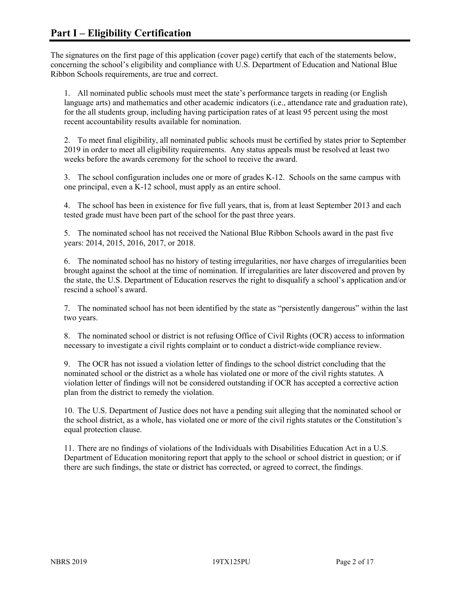The signatures on the first page of this application (cover page) certify that each of the statements below, concerning the school's eligibility and compliance with U.S. Department of Education and National Blue Ribbon Schools requirements, are true and correct.

1. All nominated public schools must meet the state's performance targets in reading (or English language arts) and mathematics and other academic indicators (i.e., attendance rate and graduation rate), for the all students group, including having participation rates of at least 95 percent using the most recent accountability results available for nomination.

2. To meet final eligibility, all nominated public schools must be certified by states prior to September 2019 in order to meet all eligibility requirements. Any status appeals must be resolved at least two weeks before the awards ceremony for the school to receive the award.

3. The school configuration includes one or more of grades K-12. Schools on the same campus with one principal, even a K-12 school, must apply as an entire school.

4. The school has been in existence for five full years, that is, from at least September 2013 and each tested grade must have been part of the school for the past three years.

5. The nominated school has not received the National Blue Ribbon Schools award in the past five years: 2014, 2015, 2016, 2017, or 2018.

6. The nominated school has no history of testing irregularities, nor have charges of irregularities been brought against the school at the time of nomination. If irregularities are later discovered and proven by the state, the U.S. Department of Education reserves the right to disqualify a school's application and/or rescind a school's award.

7. The nominated school has not been identified by the state as "persistently dangerous" within the last two years.

8. The nominated school or district is not refusing Office of Civil Rights (OCR) access to information necessary to investigate a civil rights complaint or to conduct a district-wide compliance review.

9. The OCR has not issued a violation letter of findings to the school district concluding that the nominated school or the district as a whole has violated one or more of the civil rights statutes. A violation letter of findings will not be considered outstanding if OCR has accepted a corrective action plan from the district to remedy the violation.

10. The U.S. Department of Justice does not have a pending suit alleging that the nominated school or the school district, as a whole, has violated one or more of the civil rights statutes or the Constitution's equal protection clause.

11. There are no findings of violations of the Individuals with Disabilities Education Act in a U.S. Department of Education monitoring report that apply to the school or school district in question; or if there are such findings, the state or district has corrected, or agreed to correct, the findings.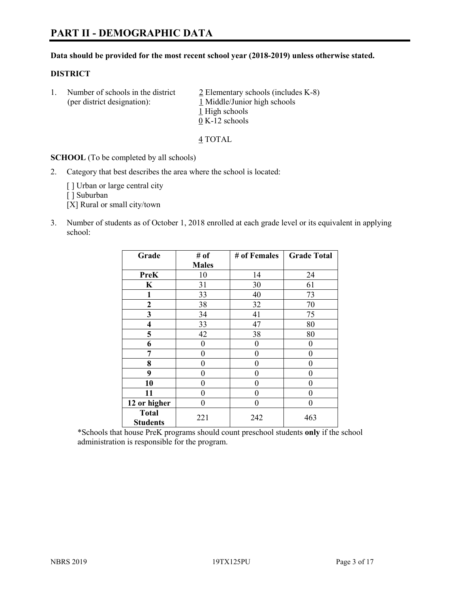#### **Data should be provided for the most recent school year (2018-2019) unless otherwise stated.**

#### **DISTRICT**

1. Number of schools in the district  $\frac{2}{2}$  Elementary schools (includes K-8) (per district designation): 1 Middle/Junior high schools 1 High schools 0 K-12 schools

4 TOTAL

**SCHOOL** (To be completed by all schools)

2. Category that best describes the area where the school is located:

[ ] Urban or large central city

[ ] Suburban

[X] Rural or small city/town

3. Number of students as of October 1, 2018 enrolled at each grade level or its equivalent in applying school:

| Grade                           | # of         | # of Females | <b>Grade Total</b> |
|---------------------------------|--------------|--------------|--------------------|
|                                 | <b>Males</b> |              |                    |
| PreK                            | 10           | 14           | 24                 |
| $\bf K$                         | 31           | 30           | 61                 |
| 1                               | 33           | 40           | 73                 |
| $\mathbf{2}$                    | 38           | 32           | 70                 |
| 3                               | 34           | 41           | 75                 |
| $\overline{\mathbf{4}}$         | 33           | 47           | 80                 |
| 5                               | 42           | 38           | 80                 |
| 6                               | 0            | $\theta$     | 0                  |
| 7                               | 0            | $\theta$     | 0                  |
| 8                               | 0            | $\theta$     | 0                  |
| 9                               | 0            | 0            | 0                  |
| 10                              | 0            | 0            | 0                  |
| 11                              | $\theta$     | 0            | 0                  |
| 12 or higher                    | 0            | 0            | 0                  |
| <b>Total</b><br><b>Students</b> | 221          | 242          | 463                |

\*Schools that house PreK programs should count preschool students **only** if the school administration is responsible for the program.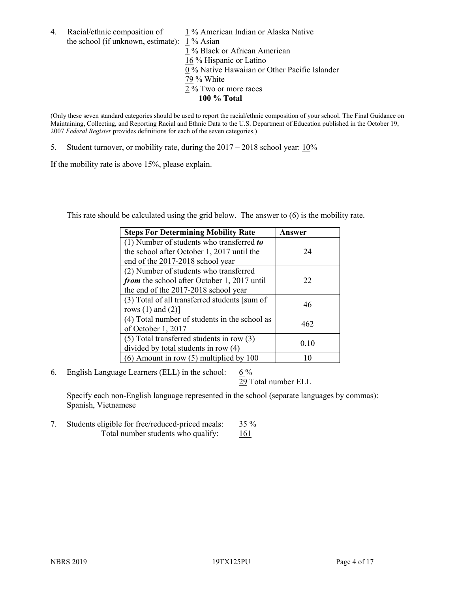4. Racial/ethnic composition of  $1\%$  American Indian or Alaska Native the school (if unknown, estimate): 1 % Asian

1 % Black or African American 16 % Hispanic or Latino  $\overline{0\%}$  Native Hawaiian or Other Pacific Islander 79 % White 2 % Two or more races **100 % Total**

(Only these seven standard categories should be used to report the racial/ethnic composition of your school. The Final Guidance on Maintaining, Collecting, and Reporting Racial and Ethnic Data to the U.S. Department of Education published in the October 19, 2007 *Federal Register* provides definitions for each of the seven categories.)

5. Student turnover, or mobility rate, during the 2017 – 2018 school year: 10%

If the mobility rate is above 15%, please explain.

This rate should be calculated using the grid below. The answer to (6) is the mobility rate.

| <b>Steps For Determining Mobility Rate</b>    | Answer |
|-----------------------------------------------|--------|
| (1) Number of students who transferred to     |        |
| the school after October 1, 2017 until the    | 24     |
| end of the 2017-2018 school year              |        |
| (2) Number of students who transferred        |        |
| from the school after October 1, 2017 until   | 22     |
| the end of the 2017-2018 school year          |        |
| (3) Total of all transferred students [sum of | 46     |
| rows $(1)$ and $(2)$ ]                        |        |
| (4) Total number of students in the school as | 462    |
| of October 1, 2017                            |        |
| $(5)$ Total transferred students in row $(3)$ |        |
| divided by total students in row (4)          | 0.10   |
| $(6)$ Amount in row $(5)$ multiplied by 100   |        |

6. English Language Learners (ELL) in the school:  $6\%$ 

29 Total number ELL

Specify each non-English language represented in the school (separate languages by commas): Spanish, Vietnamese

7. Students eligible for free/reduced-priced meals: 35 % Total number students who qualify:  $161$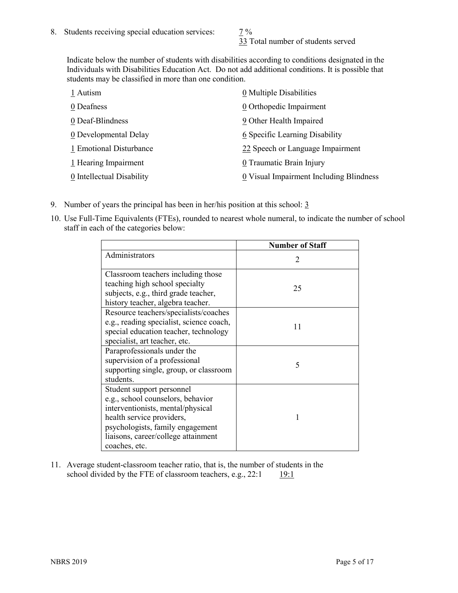33 Total number of students served

Indicate below the number of students with disabilities according to conditions designated in the Individuals with Disabilities Education Act. Do not add additional conditions. It is possible that students may be classified in more than one condition.

| 1 Autism                  | 0 Multiple Disabilities                 |
|---------------------------|-----------------------------------------|
| 0 Deafness                | 0 Orthopedic Impairment                 |
| 0 Deaf-Blindness          | 9 Other Health Impaired                 |
| 0 Developmental Delay     | 6 Specific Learning Disability          |
| 1 Emotional Disturbance   | 22 Speech or Language Impairment        |
| 1 Hearing Impairment      | 0 Traumatic Brain Injury                |
| 0 Intellectual Disability | 0 Visual Impairment Including Blindness |

- 9. Number of years the principal has been in her/his position at this school:  $\frac{3}{5}$
- 10. Use Full-Time Equivalents (FTEs), rounded to nearest whole numeral, to indicate the number of school staff in each of the categories below:

|                                                                                                                                                                                                                              | <b>Number of Staff</b>      |
|------------------------------------------------------------------------------------------------------------------------------------------------------------------------------------------------------------------------------|-----------------------------|
| Administrators                                                                                                                                                                                                               | $\mathcal{D}_{\mathcal{A}}$ |
| Classroom teachers including those<br>teaching high school specialty<br>subjects, e.g., third grade teacher,<br>history teacher, algebra teacher.                                                                            | 25                          |
| Resource teachers/specialists/coaches<br>e.g., reading specialist, science coach,<br>special education teacher, technology<br>specialist, art teacher, etc.                                                                  | 11                          |
| Paraprofessionals under the<br>supervision of a professional<br>supporting single, group, or classroom<br>students.                                                                                                          | 5                           |
| Student support personnel<br>e.g., school counselors, behavior<br>interventionists, mental/physical<br>health service providers,<br>psychologists, family engagement<br>liaisons, career/college attainment<br>coaches, etc. |                             |

11. Average student-classroom teacher ratio, that is, the number of students in the school divided by the FTE of classroom teachers, e.g.,  $22:1$  19:1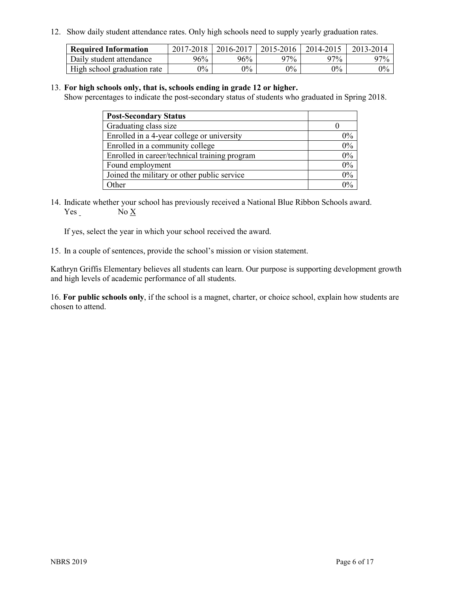12. Show daily student attendance rates. Only high schools need to supply yearly graduation rates.

| <b>Required Information</b> | 2017-2018 | 2016-2017 | 2015-2016 | 2014-2015 | 2013-2014 |
|-----------------------------|-----------|-----------|-----------|-----------|-----------|
| Daily student attendance    | 96%       | 96%       | 97%       | 97%       | $97\%$    |
| High school graduation rate | $0\%$     | $0\%$     | $0\%$     | $9\%$     | $0\%$     |

#### 13. **For high schools only, that is, schools ending in grade 12 or higher.**

Show percentages to indicate the post-secondary status of students who graduated in Spring 2018.

| <b>Post-Secondary Status</b>                  |       |
|-----------------------------------------------|-------|
| Graduating class size                         |       |
| Enrolled in a 4-year college or university    | $0\%$ |
| Enrolled in a community college               | 0%    |
| Enrolled in career/technical training program | 0%    |
| Found employment                              | 0%    |
| Joined the military or other public service   | 0%    |
| Other                                         | $0\%$ |

14. Indicate whether your school has previously received a National Blue Ribbon Schools award. Yes No X

If yes, select the year in which your school received the award.

15. In a couple of sentences, provide the school's mission or vision statement.

Kathryn Griffis Elementary believes all students can learn. Our purpose is supporting development growth and high levels of academic performance of all students.

16. **For public schools only**, if the school is a magnet, charter, or choice school, explain how students are chosen to attend.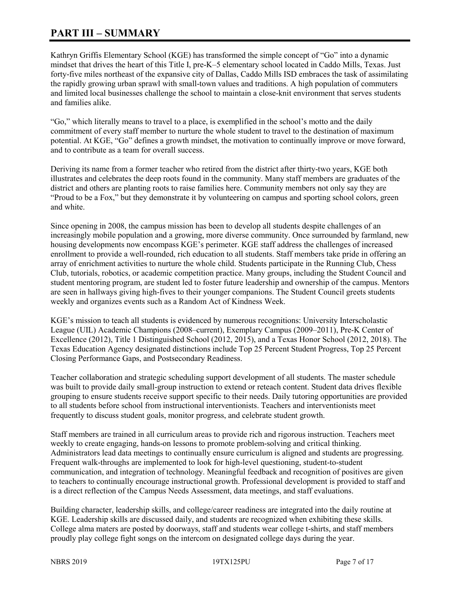# **PART III – SUMMARY**

Kathryn Griffis Elementary School (KGE) has transformed the simple concept of "Go" into a dynamic mindset that drives the heart of this Title I, pre-K–5 elementary school located in Caddo Mills, Texas. Just forty-five miles northeast of the expansive city of Dallas, Caddo Mills ISD embraces the task of assimilating the rapidly growing urban sprawl with small-town values and traditions. A high population of commuters and limited local businesses challenge the school to maintain a close-knit environment that serves students and families alike.

"Go," which literally means to travel to a place, is exemplified in the school's motto and the daily commitment of every staff member to nurture the whole student to travel to the destination of maximum potential. At KGE, "Go" defines a growth mindset, the motivation to continually improve or move forward, and to contribute as a team for overall success.

Deriving its name from a former teacher who retired from the district after thirty-two years, KGE both illustrates and celebrates the deep roots found in the community. Many staff members are graduates of the district and others are planting roots to raise families here. Community members not only say they are "Proud to be a Fox," but they demonstrate it by volunteering on campus and sporting school colors, green and white.

Since opening in 2008, the campus mission has been to develop all students despite challenges of an increasingly mobile population and a growing, more diverse community. Once surrounded by farmland, new housing developments now encompass KGE's perimeter. KGE staff address the challenges of increased enrollment to provide a well-rounded, rich education to all students. Staff members take pride in offering an array of enrichment activities to nurture the whole child. Students participate in the Running Club, Chess Club, tutorials, robotics, or academic competition practice. Many groups, including the Student Council and student mentoring program, are student led to foster future leadership and ownership of the campus. Mentors are seen in hallways giving high-fives to their younger companions. The Student Council greets students weekly and organizes events such as a Random Act of Kindness Week.

KGE's mission to teach all students is evidenced by numerous recognitions: University Interscholastic League (UIL) Academic Champions (2008–current), Exemplary Campus (2009–2011), Pre-K Center of Excellence (2012), Title 1 Distinguished School (2012, 2015), and a Texas Honor School (2012, 2018). The Texas Education Agency designated distinctions include Top 25 Percent Student Progress, Top 25 Percent Closing Performance Gaps, and Postsecondary Readiness.

Teacher collaboration and strategic scheduling support development of all students. The master schedule was built to provide daily small-group instruction to extend or reteach content. Student data drives flexible grouping to ensure students receive support specific to their needs. Daily tutoring opportunities are provided to all students before school from instructional interventionists. Teachers and interventionists meet frequently to discuss student goals, monitor progress, and celebrate student growth.

Staff members are trained in all curriculum areas to provide rich and rigorous instruction. Teachers meet weekly to create engaging, hands-on lessons to promote problem-solving and critical thinking. Administrators lead data meetings to continually ensure curriculum is aligned and students are progressing. Frequent walk-throughs are implemented to look for high-level questioning, student-to-student communication, and integration of technology. Meaningful feedback and recognition of positives are given to teachers to continually encourage instructional growth. Professional development is provided to staff and is a direct reflection of the Campus Needs Assessment, data meetings, and staff evaluations.

Building character, leadership skills, and college/career readiness are integrated into the daily routine at KGE. Leadership skills are discussed daily, and students are recognized when exhibiting these skills. College alma maters are posted by doorways, staff and students wear college t-shirts, and staff members proudly play college fight songs on the intercom on designated college days during the year.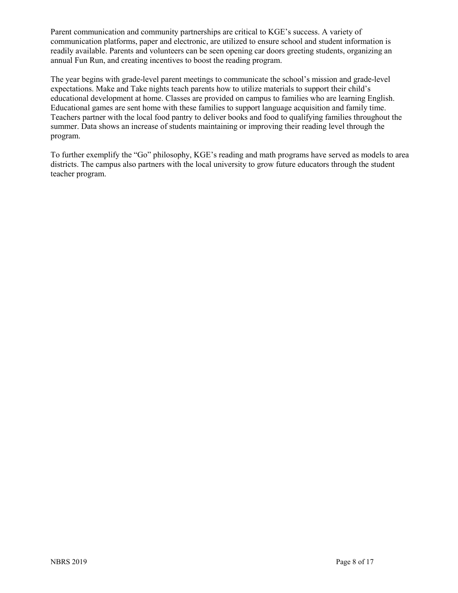Parent communication and community partnerships are critical to KGE's success. A variety of communication platforms, paper and electronic, are utilized to ensure school and student information is readily available. Parents and volunteers can be seen opening car doors greeting students, organizing an annual Fun Run, and creating incentives to boost the reading program.

The year begins with grade-level parent meetings to communicate the school's mission and grade-level expectations. Make and Take nights teach parents how to utilize materials to support their child's educational development at home. Classes are provided on campus to families who are learning English. Educational games are sent home with these families to support language acquisition and family time. Teachers partner with the local food pantry to deliver books and food to qualifying families throughout the summer. Data shows an increase of students maintaining or improving their reading level through the program.

To further exemplify the "Go" philosophy, KGE's reading and math programs have served as models to area districts. The campus also partners with the local university to grow future educators through the student teacher program.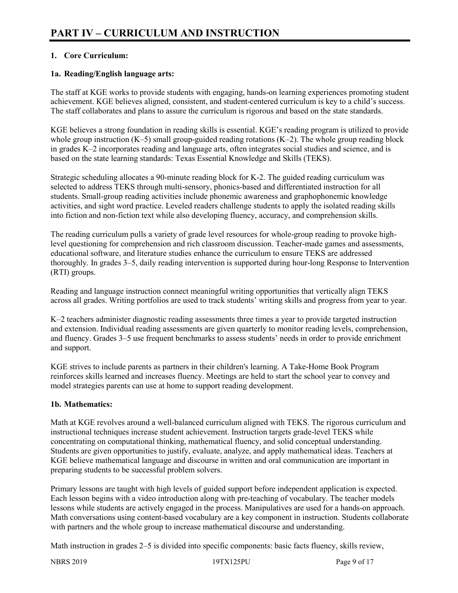# **1. Core Curriculum:**

### **1a. Reading/English language arts:**

The staff at KGE works to provide students with engaging, hands-on learning experiences promoting student achievement. KGE believes aligned, consistent, and student-centered curriculum is key to a child's success. The staff collaborates and plans to assure the curriculum is rigorous and based on the state standards.

KGE believes a strong foundation in reading skills is essential. KGE's reading program is utilized to provide whole group instruction  $(K-5)$  small group-guided reading rotations  $(K-2)$ . The whole group reading block in grades K–2 incorporates reading and language arts, often integrates social studies and science, and is based on the state learning standards: Texas Essential Knowledge and Skills (TEKS).

Strategic scheduling allocates a 90-minute reading block for K-2. The guided reading curriculum was selected to address TEKS through multi-sensory, phonics-based and differentiated instruction for all students. Small-group reading activities include phonemic awareness and graphophonemic knowledge activities, and sight word practice. Leveled readers challenge students to apply the isolated reading skills into fiction and non-fiction text while also developing fluency, accuracy, and comprehension skills.

The reading curriculum pulls a variety of grade level resources for whole-group reading to provoke highlevel questioning for comprehension and rich classroom discussion. Teacher-made games and assessments, educational software, and literature studies enhance the curriculum to ensure TEKS are addressed thoroughly. In grades 3–5, daily reading intervention is supported during hour-long Response to Intervention (RTI) groups.

Reading and language instruction connect meaningful writing opportunities that vertically align TEKS across all grades. Writing portfolios are used to track students' writing skills and progress from year to year.

K–2 teachers administer diagnostic reading assessments three times a year to provide targeted instruction and extension. Individual reading assessments are given quarterly to monitor reading levels, comprehension, and fluency. Grades 3–5 use frequent benchmarks to assess students' needs in order to provide enrichment and support.

KGE strives to include parents as partners in their children's learning. A Take-Home Book Program reinforces skills learned and increases fluency. Meetings are held to start the school year to convey and model strategies parents can use at home to support reading development.

#### **1b. Mathematics:**

Math at KGE revolves around a well-balanced curriculum aligned with TEKS. The rigorous curriculum and instructional techniques increase student achievement. Instruction targets grade-level TEKS while concentrating on computational thinking, mathematical fluency, and solid conceptual understanding. Students are given opportunities to justify, evaluate, analyze, and apply mathematical ideas. Teachers at KGE believe mathematical language and discourse in written and oral communication are important in preparing students to be successful problem solvers.

Primary lessons are taught with high levels of guided support before independent application is expected. Each lesson begins with a video introduction along with pre-teaching of vocabulary. The teacher models lessons while students are actively engaged in the process. Manipulatives are used for a hands-on approach. Math conversations using content-based vocabulary are a key component in instruction. Students collaborate with partners and the whole group to increase mathematical discourse and understanding.

Math instruction in grades 2–5 is divided into specific components: basic facts fluency, skills review,

NBRS 2019 19TX125PU Page 9 of 17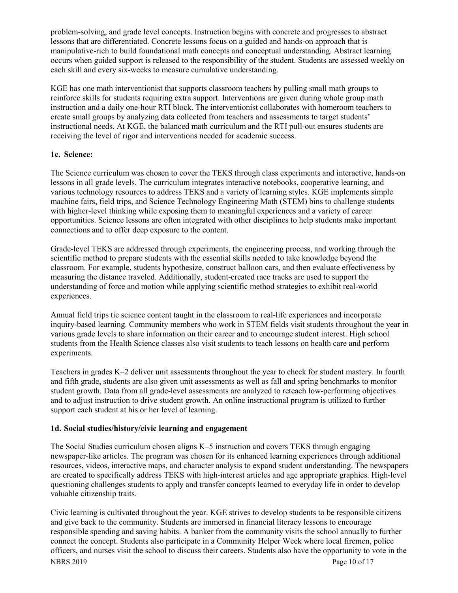problem-solving, and grade level concepts. Instruction begins with concrete and progresses to abstract lessons that are differentiated. Concrete lessons focus on a guided and hands-on approach that is manipulative-rich to build foundational math concepts and conceptual understanding. Abstract learning occurs when guided support is released to the responsibility of the student. Students are assessed weekly on each skill and every six-weeks to measure cumulative understanding.

KGE has one math interventionist that supports classroom teachers by pulling small math groups to reinforce skills for students requiring extra support. Interventions are given during whole group math instruction and a daily one-hour RTI block. The interventionist collaborates with homeroom teachers to create small groups by analyzing data collected from teachers and assessments to target students' instructional needs. At KGE, the balanced math curriculum and the RTI pull-out ensures students are receiving the level of rigor and interventions needed for academic success.

#### **1c. Science:**

The Science curriculum was chosen to cover the TEKS through class experiments and interactive, hands-on lessons in all grade levels. The curriculum integrates interactive notebooks, cooperative learning, and various technology resources to address TEKS and a variety of learning styles. KGE implements simple machine fairs, field trips, and Science Technology Engineering Math (STEM) bins to challenge students with higher-level thinking while exposing them to meaningful experiences and a variety of career opportunities. Science lessons are often integrated with other disciplines to help students make important connections and to offer deep exposure to the content.

Grade-level TEKS are addressed through experiments, the engineering process, and working through the scientific method to prepare students with the essential skills needed to take knowledge beyond the classroom. For example, students hypothesize, construct balloon cars, and then evaluate effectiveness by measuring the distance traveled. Additionally, student-created race tracks are used to support the understanding of force and motion while applying scientific method strategies to exhibit real-world experiences.

Annual field trips tie science content taught in the classroom to real-life experiences and incorporate inquiry-based learning. Community members who work in STEM fields visit students throughout the year in various grade levels to share information on their career and to encourage student interest. High school students from the Health Science classes also visit students to teach lessons on health care and perform experiments.

Teachers in grades K–2 deliver unit assessments throughout the year to check for student mastery. In fourth and fifth grade, students are also given unit assessments as well as fall and spring benchmarks to monitor student growth. Data from all grade-level assessments are analyzed to reteach low-performing objectives and to adjust instruction to drive student growth. An online instructional program is utilized to further support each student at his or her level of learning.

## **1d. Social studies/history/civic learning and engagement**

The Social Studies curriculum chosen aligns K–5 instruction and covers TEKS through engaging newspaper-like articles. The program was chosen for its enhanced learning experiences through additional resources, videos, interactive maps, and character analysis to expand student understanding. The newspapers are created to specifically address TEKS with high-interest articles and age appropriate graphics. High-level questioning challenges students to apply and transfer concepts learned to everyday life in order to develop valuable citizenship traits.

NBRS 2019 Page 10 of 17 Civic learning is cultivated throughout the year. KGE strives to develop students to be responsible citizens and give back to the community. Students are immersed in financial literacy lessons to encourage responsible spending and saving habits. A banker from the community visits the school annually to further connect the concept. Students also participate in a Community Helper Week where local firemen, police officers, and nurses visit the school to discuss their careers. Students also have the opportunity to vote in the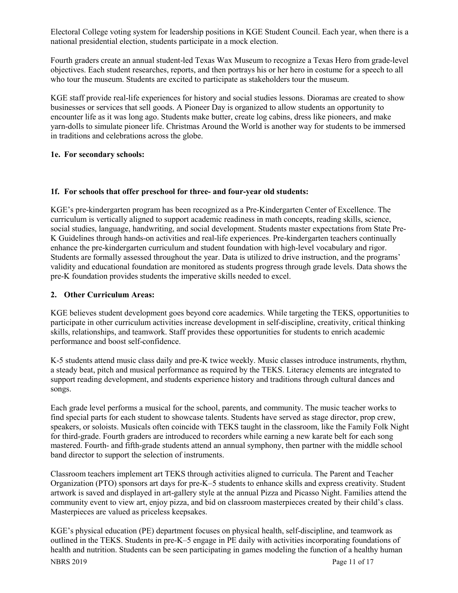Electoral College voting system for leadership positions in KGE Student Council. Each year, when there is a national presidential election, students participate in a mock election.

Fourth graders create an annual student-led Texas Wax Museum to recognize a Texas Hero from grade-level objectives. Each student researches, reports, and then portrays his or her hero in costume for a speech to all who tour the museum. Students are excited to participate as stakeholders tour the museum.

KGE staff provide real-life experiences for history and social studies lessons. Dioramas are created to show businesses or services that sell goods. A Pioneer Day is organized to allow students an opportunity to encounter life as it was long ago. Students make butter, create log cabins, dress like pioneers, and make yarn-dolls to simulate pioneer life. Christmas Around the World is another way for students to be immersed in traditions and celebrations across the globe.

#### **1e. For secondary schools:**

#### **1f. For schools that offer preschool for three- and four-year old students:**

KGE's pre-kindergarten program has been recognized as a Pre-Kindergarten Center of Excellence. The curriculum is vertically aligned to support academic readiness in math concepts, reading skills, science, social studies, language, handwriting, and social development. Students master expectations from State Pre-K Guidelines through hands-on activities and real-life experiences. Pre-kindergarten teachers continually enhance the pre-kindergarten curriculum and student foundation with high-level vocabulary and rigor. Students are formally assessed throughout the year. Data is utilized to drive instruction, and the programs' validity and educational foundation are monitored as students progress through grade levels. Data shows the pre-K foundation provides students the imperative skills needed to excel.

#### **2. Other Curriculum Areas:**

KGE believes student development goes beyond core academics. While targeting the TEKS, opportunities to participate in other curriculum activities increase development in self-discipline, creativity, critical thinking skills, relationships, and teamwork. Staff provides these opportunities for students to enrich academic performance and boost self-confidence.

K-5 students attend music class daily and pre-K twice weekly. Music classes introduce instruments, rhythm, a steady beat, pitch and musical performance as required by the TEKS. Literacy elements are integrated to support reading development, and students experience history and traditions through cultural dances and songs.

Each grade level performs a musical for the school, parents, and community. The music teacher works to find special parts for each student to showcase talents. Students have served as stage director, prop crew, speakers, or soloists. Musicals often coincide with TEKS taught in the classroom, like the Family Folk Night for third-grade. Fourth graders are introduced to recorders while earning a new karate belt for each song mastered. Fourth- and fifth-grade students attend an annual symphony, then partner with the middle school band director to support the selection of instruments.

Classroom teachers implement art TEKS through activities aligned to curricula. The Parent and Teacher Organization (PTO) sponsors art days for pre-K–5 students to enhance skills and express creativity. Student artwork is saved and displayed in art-gallery style at the annual Pizza and Picasso Night. Families attend the community event to view art, enjoy pizza, and bid on classroom masterpieces created by their child's class. Masterpieces are valued as priceless keepsakes.

NBRS 2019 Page 11 of 17 KGE's physical education (PE) department focuses on physical health, self-discipline, and teamwork as outlined in the TEKS. Students in pre-K–5 engage in PE daily with activities incorporating foundations of health and nutrition. Students can be seen participating in games modeling the function of a healthy human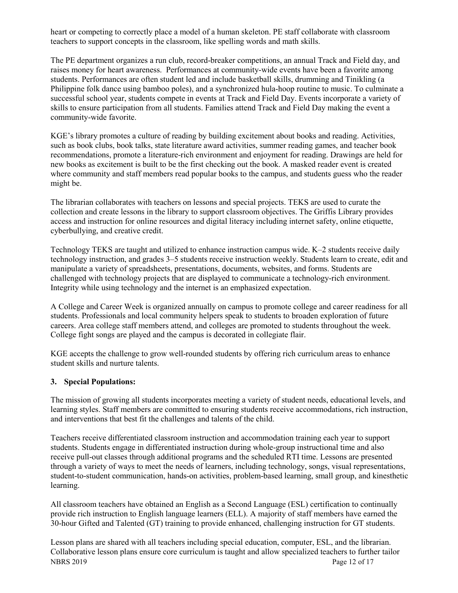heart or competing to correctly place a model of a human skeleton. PE staff collaborate with classroom teachers to support concepts in the classroom, like spelling words and math skills.

The PE department organizes a run club, record-breaker competitions, an annual Track and Field day, and raises money for heart awareness. Performances at community-wide events have been a favorite among students. Performances are often student led and include basketball skills, drumming and Tinikling (a Philippine folk dance using bamboo poles), and a synchronized hula-hoop routine to music. To culminate a successful school year, students compete in events at Track and Field Day. Events incorporate a variety of skills to ensure participation from all students. Families attend Track and Field Day making the event a community-wide favorite.

KGE's library promotes a culture of reading by building excitement about books and reading. Activities, such as book clubs, book talks, state literature award activities, summer reading games, and teacher book recommendations, promote a literature-rich environment and enjoyment for reading. Drawings are held for new books as excitement is built to be the first checking out the book. A masked reader event is created where community and staff members read popular books to the campus, and students guess who the reader might be.

The librarian collaborates with teachers on lessons and special projects. TEKS are used to curate the collection and create lessons in the library to support classroom objectives. The Griffis Library provides access and instruction for online resources and digital literacy including internet safety, online etiquette, cyberbullying, and creative credit.

Technology TEKS are taught and utilized to enhance instruction campus wide. K–2 students receive daily technology instruction, and grades 3–5 students receive instruction weekly. Students learn to create, edit and manipulate a variety of spreadsheets, presentations, documents, websites, and forms. Students are challenged with technology projects that are displayed to communicate a technology-rich environment. Integrity while using technology and the internet is an emphasized expectation.

A College and Career Week is organized annually on campus to promote college and career readiness for all students. Professionals and local community helpers speak to students to broaden exploration of future careers. Area college staff members attend, and colleges are promoted to students throughout the week. College fight songs are played and the campus is decorated in collegiate flair.

KGE accepts the challenge to grow well-rounded students by offering rich curriculum areas to enhance student skills and nurture talents.

#### **3. Special Populations:**

The mission of growing all students incorporates meeting a variety of student needs, educational levels, and learning styles. Staff members are committed to ensuring students receive accommodations, rich instruction, and interventions that best fit the challenges and talents of the child.

Teachers receive differentiated classroom instruction and accommodation training each year to support students. Students engage in differentiated instruction during whole-group instructional time and also receive pull-out classes through additional programs and the scheduled RTI time. Lessons are presented through a variety of ways to meet the needs of learners, including technology, songs, visual representations, student-to-student communication, hands-on activities, problem-based learning, small group, and kinesthetic learning.

All classroom teachers have obtained an English as a Second Language (ESL) certification to continually provide rich instruction to English language learners (ELL). A majority of staff members have earned the 30-hour Gifted and Talented (GT) training to provide enhanced, challenging instruction for GT students.

NBRS 2019 Page 12 of 17 Lesson plans are shared with all teachers including special education, computer, ESL, and the librarian. Collaborative lesson plans ensure core curriculum is taught and allow specialized teachers to further tailor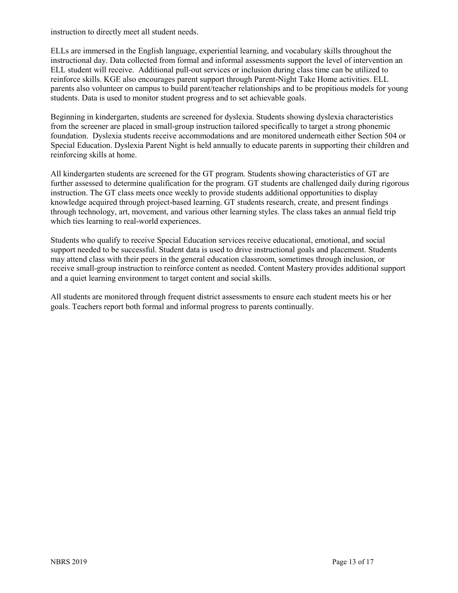instruction to directly meet all student needs.

ELLs are immersed in the English language, experiential learning, and vocabulary skills throughout the instructional day. Data collected from formal and informal assessments support the level of intervention an ELL student will receive. Additional pull-out services or inclusion during class time can be utilized to reinforce skills. KGE also encourages parent support through Parent-Night Take Home activities. ELL parents also volunteer on campus to build parent/teacher relationships and to be propitious models for young students. Data is used to monitor student progress and to set achievable goals.

Beginning in kindergarten, students are screened for dyslexia. Students showing dyslexia characteristics from the screener are placed in small-group instruction tailored specifically to target a strong phonemic foundation. Dyslexia students receive accommodations and are monitored underneath either Section 504 or Special Education. Dyslexia Parent Night is held annually to educate parents in supporting their children and reinforcing skills at home.

All kindergarten students are screened for the GT program. Students showing characteristics of GT are further assessed to determine qualification for the program. GT students are challenged daily during rigorous instruction. The GT class meets once weekly to provide students additional opportunities to display knowledge acquired through project-based learning. GT students research, create, and present findings through technology, art, movement, and various other learning styles. The class takes an annual field trip which ties learning to real-world experiences.

Students who qualify to receive Special Education services receive educational, emotional, and social support needed to be successful. Student data is used to drive instructional goals and placement. Students may attend class with their peers in the general education classroom, sometimes through inclusion, or receive small-group instruction to reinforce content as needed. Content Mastery provides additional support and a quiet learning environment to target content and social skills.

All students are monitored through frequent district assessments to ensure each student meets his or her goals. Teachers report both formal and informal progress to parents continually.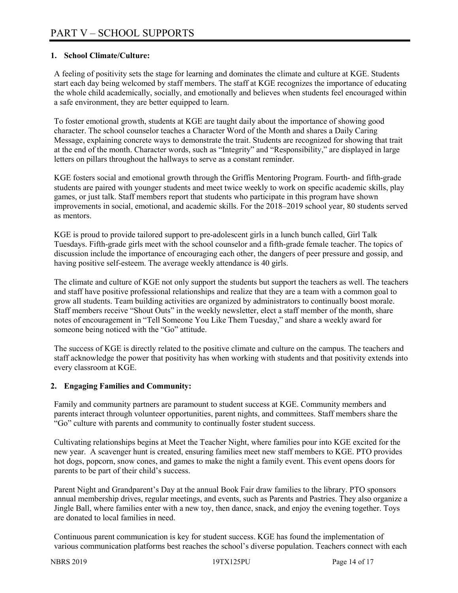### **1. School Climate/Culture:**

A feeling of positivity sets the stage for learning and dominates the climate and culture at KGE. Students start each day being welcomed by staff members. The staff at KGE recognizes the importance of educating the whole child academically, socially, and emotionally and believes when students feel encouraged within a safe environment, they are better equipped to learn.

To foster emotional growth, students at KGE are taught daily about the importance of showing good character. The school counselor teaches a Character Word of the Month and shares a Daily Caring Message, explaining concrete ways to demonstrate the trait. Students are recognized for showing that trait at the end of the month. Character words, such as "Integrity" and "Responsibility," are displayed in large letters on pillars throughout the hallways to serve as a constant reminder.

KGE fosters social and emotional growth through the Griffis Mentoring Program. Fourth- and fifth-grade students are paired with younger students and meet twice weekly to work on specific academic skills, play games, or just talk. Staff members report that students who participate in this program have shown improvements in social, emotional, and academic skills. For the 2018–2019 school year, 80 students served as mentors.

KGE is proud to provide tailored support to pre-adolescent girls in a lunch bunch called, Girl Talk Tuesdays. Fifth-grade girls meet with the school counselor and a fifth-grade female teacher. The topics of discussion include the importance of encouraging each other, the dangers of peer pressure and gossip, and having positive self-esteem. The average weekly attendance is 40 girls.

The climate and culture of KGE not only support the students but support the teachers as well. The teachers and staff have positive professional relationships and realize that they are a team with a common goal to grow all students. Team building activities are organized by administrators to continually boost morale. Staff members receive "Shout Outs" in the weekly newsletter, elect a staff member of the month, share notes of encouragement in "Tell Someone You Like Them Tuesday," and share a weekly award for someone being noticed with the "Go" attitude.

The success of KGE is directly related to the positive climate and culture on the campus. The teachers and staff acknowledge the power that positivity has when working with students and that positivity extends into every classroom at KGE.

#### **2. Engaging Families and Community:**

Family and community partners are paramount to student success at KGE. Community members and parents interact through volunteer opportunities, parent nights, and committees. Staff members share the "Go" culture with parents and community to continually foster student success.

Cultivating relationships begins at Meet the Teacher Night, where families pour into KGE excited for the new year. A scavenger hunt is created, ensuring families meet new staff members to KGE. PTO provides hot dogs, popcorn, snow cones, and games to make the night a family event. This event opens doors for parents to be part of their child's success.

Parent Night and Grandparent's Day at the annual Book Fair draw families to the library. PTO sponsors annual membership drives, regular meetings, and events, such as Parents and Pastries. They also organize a Jingle Ball, where families enter with a new toy, then dance, snack, and enjoy the evening together. Toys are donated to local families in need.

Continuous parent communication is key for student success. KGE has found the implementation of various communication platforms best reaches the school's diverse population. Teachers connect with each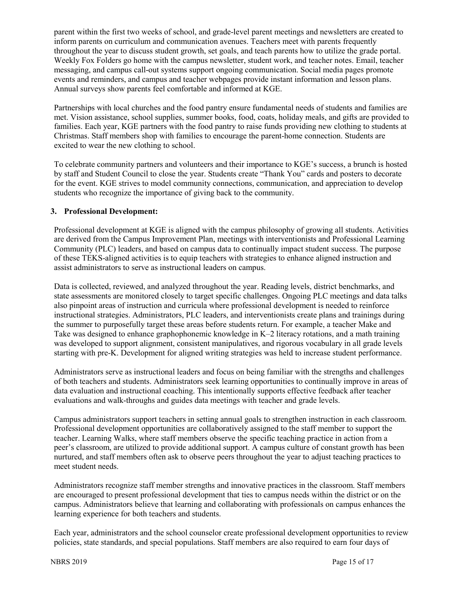parent within the first two weeks of school, and grade-level parent meetings and newsletters are created to inform parents on curriculum and communication avenues. Teachers meet with parents frequently throughout the year to discuss student growth, set goals, and teach parents how to utilize the grade portal. Weekly Fox Folders go home with the campus newsletter, student work, and teacher notes. Email, teacher messaging, and campus call-out systems support ongoing communication. Social media pages promote events and reminders, and campus and teacher webpages provide instant information and lesson plans. Annual surveys show parents feel comfortable and informed at KGE.

Partnerships with local churches and the food pantry ensure fundamental needs of students and families are met. Vision assistance, school supplies, summer books, food, coats, holiday meals, and gifts are provided to families. Each year, KGE partners with the food pantry to raise funds providing new clothing to students at Christmas. Staff members shop with families to encourage the parent-home connection. Students are excited to wear the new clothing to school.

To celebrate community partners and volunteers and their importance to KGE's success, a brunch is hosted by staff and Student Council to close the year. Students create "Thank You" cards and posters to decorate for the event. KGE strives to model community connections, communication, and appreciation to develop students who recognize the importance of giving back to the community.

#### **3. Professional Development:**

Professional development at KGE is aligned with the campus philosophy of growing all students. Activities are derived from the Campus Improvement Plan, meetings with interventionists and Professional Learning Community (PLC) leaders, and based on campus data to continually impact student success. The purpose of these TEKS-aligned activities is to equip teachers with strategies to enhance aligned instruction and assist administrators to serve as instructional leaders on campus.

Data is collected, reviewed, and analyzed throughout the year. Reading levels, district benchmarks, and state assessments are monitored closely to target specific challenges. Ongoing PLC meetings and data talks also pinpoint areas of instruction and curricula where professional development is needed to reinforce instructional strategies. Administrators, PLC leaders, and interventionists create plans and trainings during the summer to purposefully target these areas before students return. For example, a teacher Make and Take was designed to enhance graphophonemic knowledge in K–2 literacy rotations, and a math training was developed to support alignment, consistent manipulatives, and rigorous vocabulary in all grade levels starting with pre-K. Development for aligned writing strategies was held to increase student performance.

Administrators serve as instructional leaders and focus on being familiar with the strengths and challenges of both teachers and students. Administrators seek learning opportunities to continually improve in areas of data evaluation and instructional coaching. This intentionally supports effective feedback after teacher evaluations and walk-throughs and guides data meetings with teacher and grade levels.

Campus administrators support teachers in setting annual goals to strengthen instruction in each classroom. Professional development opportunities are collaboratively assigned to the staff member to support the teacher. Learning Walks, where staff members observe the specific teaching practice in action from a peer's classroom, are utilized to provide additional support. A campus culture of constant growth has been nurtured, and staff members often ask to observe peers throughout the year to adjust teaching practices to meet student needs.

Administrators recognize staff member strengths and innovative practices in the classroom. Staff members are encouraged to present professional development that ties to campus needs within the district or on the campus. Administrators believe that learning and collaborating with professionals on campus enhances the learning experience for both teachers and students.

Each year, administrators and the school counselor create professional development opportunities to review policies, state standards, and special populations. Staff members are also required to earn four days of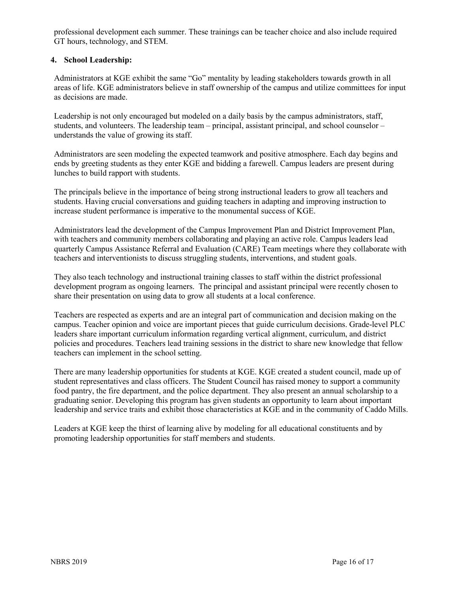professional development each summer. These trainings can be teacher choice and also include required GT hours, technology, and STEM.

## **4. School Leadership:**

Administrators at KGE exhibit the same "Go" mentality by leading stakeholders towards growth in all areas of life. KGE administrators believe in staff ownership of the campus and utilize committees for input as decisions are made.

Leadership is not only encouraged but modeled on a daily basis by the campus administrators, staff, students, and volunteers. The leadership team – principal, assistant principal, and school counselor – understands the value of growing its staff.

Administrators are seen modeling the expected teamwork and positive atmosphere. Each day begins and ends by greeting students as they enter KGE and bidding a farewell. Campus leaders are present during lunches to build rapport with students.

The principals believe in the importance of being strong instructional leaders to grow all teachers and students. Having crucial conversations and guiding teachers in adapting and improving instruction to increase student performance is imperative to the monumental success of KGE.

Administrators lead the development of the Campus Improvement Plan and District Improvement Plan, with teachers and community members collaborating and playing an active role. Campus leaders lead quarterly Campus Assistance Referral and Evaluation (CARE) Team meetings where they collaborate with teachers and interventionists to discuss struggling students, interventions, and student goals.

They also teach technology and instructional training classes to staff within the district professional development program as ongoing learners. The principal and assistant principal were recently chosen to share their presentation on using data to grow all students at a local conference.

Teachers are respected as experts and are an integral part of communication and decision making on the campus. Teacher opinion and voice are important pieces that guide curriculum decisions. Grade-level PLC leaders share important curriculum information regarding vertical alignment, curriculum, and district policies and procedures. Teachers lead training sessions in the district to share new knowledge that fellow teachers can implement in the school setting.

There are many leadership opportunities for students at KGE. KGE created a student council, made up of student representatives and class officers. The Student Council has raised money to support a community food pantry, the fire department, and the police department. They also present an annual scholarship to a graduating senior. Developing this program has given students an opportunity to learn about important leadership and service traits and exhibit those characteristics at KGE and in the community of Caddo Mills.

Leaders at KGE keep the thirst of learning alive by modeling for all educational constituents and by promoting leadership opportunities for staff members and students.